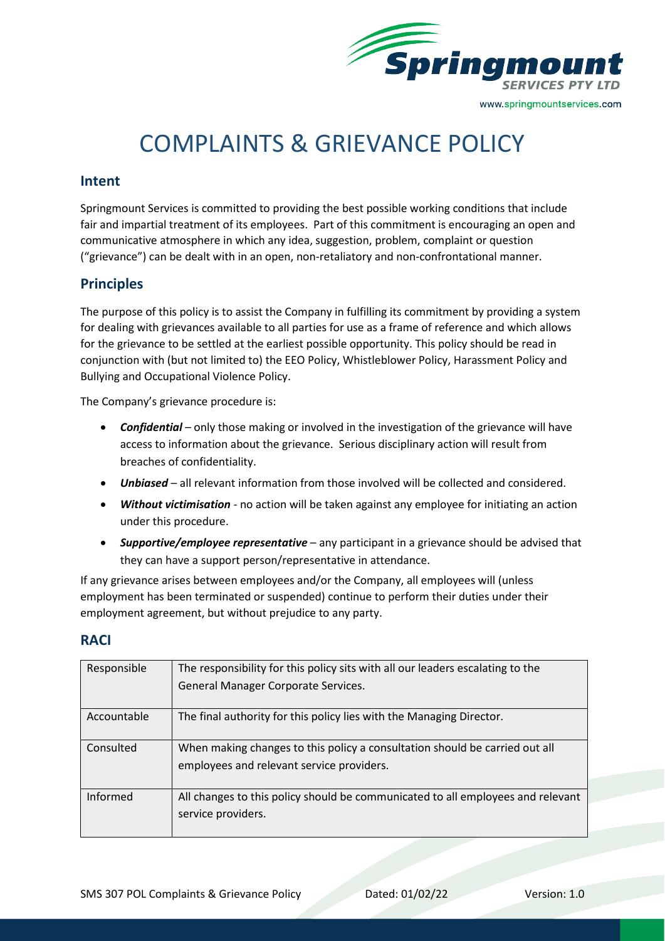

# COMPLAINTS & GRIEVANCE POLICY

### **Intent**

Springmount Services is committed to providing the best possible working conditions that include fair and impartial treatment of its employees. Part of this commitment is encouraging an open and communicative atmosphere in which any idea, suggestion, problem, complaint or question ("grievance") can be dealt with in an open, non-retaliatory and non-confrontational manner.

# **Principles**

The purpose of this policy is to assist the Company in fulfilling its commitment by providing a system for dealing with grievances available to all parties for use as a frame of reference and which allows for the grievance to be settled at the earliest possible opportunity. This policy should be read in conjunction with (but not limited to) the EEO Policy, Whistleblower Policy, Harassment Policy and Bullying and Occupational Violence Policy.

The Company's grievance procedure is:

- *Confidential* only those making or involved in the investigation of the grievance will have access to information about the grievance. Serious disciplinary action will result from breaches of confidentiality.
- *Unbiased* all relevant information from those involved will be collected and considered.
- *Without victimisation* no action will be taken against any employee for initiating an action under this procedure.
- *Supportive/employee representative* any participant in a grievance should be advised that they can have a support person/representative in attendance.

If any grievance arises between employees and/or the Company, all employees will (unless employment has been terminated or suspended) continue to perform their duties under their employment agreement, but without prejudice to any party.

#### **RACI**

| Responsible | The responsibility for this policy sits with all our leaders escalating to the                                           |
|-------------|--------------------------------------------------------------------------------------------------------------------------|
|             | General Manager Corporate Services.                                                                                      |
|             |                                                                                                                          |
| Accountable | The final authority for this policy lies with the Managing Director.                                                     |
| Consulted   | When making changes to this policy a consultation should be carried out all<br>employees and relevant service providers. |
| Informed    | All changes to this policy should be communicated to all employees and relevant<br>service providers.                    |